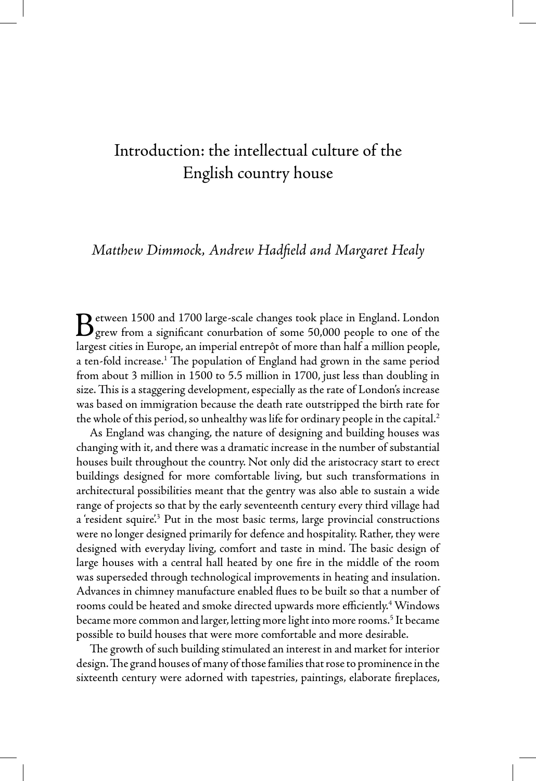## Introduction: the intellectual culture of the English country house

## *Matthew Dimmock, Andrew Hadfield and Margaret Healy*

Between 1500 and 1700 large-scale changes took place in England. London grew from a significant conurbation of some 50,000 people to one of the largest cities in Europe, an imperial entrepôt of more than half a million people, a ten-fold increase.<sup>1</sup> The population of England had grown in the same period from about 3 million in 1500 to 5.5 million in 1700, just less than doubling in size. This is a staggering development, especially as the rate of London's increase was based on immigration because the death rate outstripped the birth rate for the whole of this period, so unhealthy was life for ordinary people in the capital.<sup>2</sup>

As England was changing, the nature of designing and building houses was changing with it, and there was a dramatic increase in the number of substantial houses built throughout the country. Not only did the aristocracy start to erect buildings designed for more comfortable living, but such transformations in architectural possibilities meant that the gentry was also able to sustain a wide range of projects so that by the early seventeenth century every third village had a 'resident squire<sup>'3</sup> Put in the most basic terms, large provincial constructions were no longer designed primarily for defence and hospitality. Rather, they were designed with everyday living, comfort and taste in mind. The basic design of large houses with a central hall heated by one fire in the middle of the room was superseded through technological improvements in heating and insulation. Advances in chimney manufacture enabled flues to be built so that a number of rooms could be heated and smoke directed upwards more efficiently.<sup>4</sup> Windows became more common and larger, letting more light into more rooms.<sup>5</sup> It became possible to build houses that were more comfortable and more desirable.

The growth of such building stimulated an interest in and market for interior design. The grand houses of many of those families that rose to prominence in the sixteenth century were adorned with tapestries, paintings, elaborate fireplaces,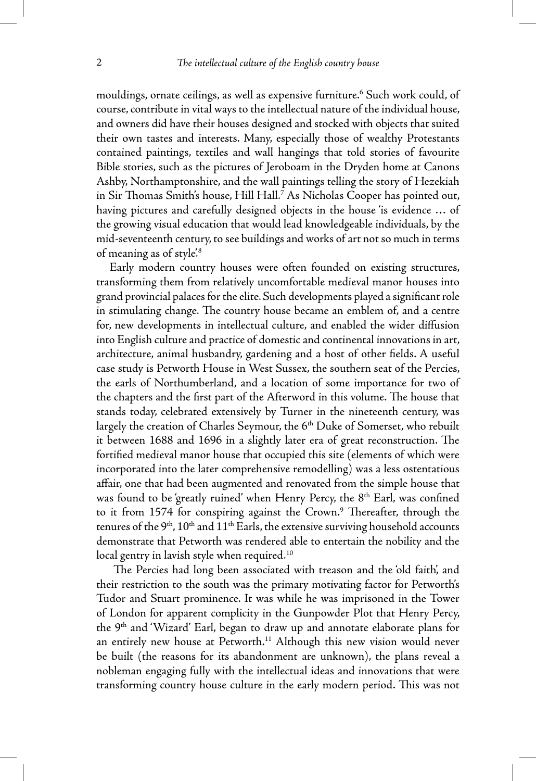mouldings, ornate ceilings, as well as expensive furniture.6 Such work could, of course, contribute in vital ways to the intellectual nature of the individual house, and owners did have their houses designed and stocked with objects that suited their own tastes and interests. Many, especially those of wealthy Protestants contained paintings, textiles and wall hangings that told stories of favourite Bible stories, such as the pictures of Jeroboam in the Dryden home at Canons Ashby, Northamptonshire, and the wall paintings telling the story of Hezekiah in Sir Thomas Smith's house, Hill Hall.7 As Nicholas Cooper has pointed out, having pictures and carefully designed objects in the house 'is evidence ... of the growing visual education that would lead knowledgeable individuals, by the mid-seventeenth century, to see buildings and works of art not so much in terms of meaning as of style<sup>'8</sup>

Early modern country houses were often founded on existing structures, transforming them from relatively uncomfortable medieval manor houses into grand provincial palaces for the elite. Such developments played a significant role in stimulating change. The country house became an emblem of, and a centre for, new developments in intellectual culture, and enabled the wider diffusion into English culture and practice of domestic and continental innovations in art, architecture, animal husbandry, gardening and a host of other fields. A useful case study is Petworth House in West Sussex, the southern seat of the Percies, the earls of Northumberland, and a location of some importance for two of the chapters and the first part of the Afterword in this volume. The house that stands today, celebrated extensively by Turner in the nineteenth century, was largely the creation of Charles Seymour, the 6<sup>th</sup> Duke of Somerset, who rebuilt it between 1688 and 1696 in a slightly later era of great reconstruction. The fortified medieval manor house that occupied this site (elements of which were incorporated into the later comprehensive remodelling) was a less ostentatious affair, one that had been augmented and renovated from the simple house that was found to be 'greatly ruined' when Henry Percy, the 8<sup>th</sup> Earl, was confined to it from 1574 for conspiring against the Crown.<sup>9</sup> Thereafter, through the tenures of the  $9<sup>th</sup>$ ,  $10<sup>th</sup>$  and  $11<sup>th</sup>$  Earls, the extensive surviving household accounts demonstrate that Petworth was rendered able to entertain the nobility and the local gentry in lavish style when required.<sup>10</sup>

 The Percies had long been associated with treason and the 'old faith', and their restriction to the south was the primary motivating factor for Petworth's Tudor and Stuart prominence. It was while he was imprisoned in the Tower of London for apparent complicity in the Gunpowder Plot that Henry Percy, the 9<sup>th</sup> and 'Wizard' Earl, began to draw up and annotate elaborate plans for an entirely new house at Petworth.<sup>11</sup> Although this new vision would never be built (the reasons for its abandonment are unknown), the plans reveal a nobleman engaging fully with the intellectual ideas and innovations that were transforming country house culture in the early modern period. This was not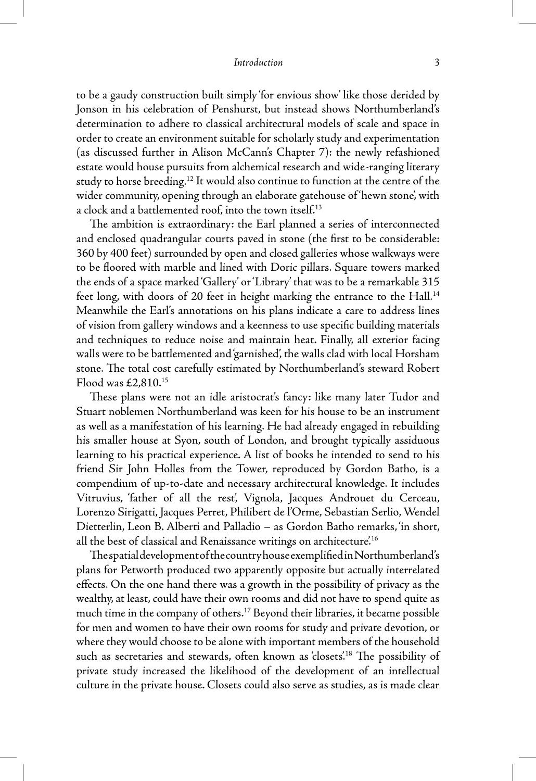## *Introduction* 3

to be a gaudy construction built simply 'for envious show' like those derided by Jonson in his celebration of Penshurst, but instead shows Northumberland's determination to adhere to classical architectural models of scale and space in order to create an environment suitable for scholarly study and experimentation (as discussed further in Alison McCann's Chapter 7): the newly refashioned estate would house pursuits from alchemical research and wide-ranging literary study to horse breeding.<sup>12</sup> It would also continue to function at the centre of the wider community, opening through an elaborate gatehouse of 'hewn stone', with a clock and a battlemented roof, into the town itself.<sup>13</sup>

The ambition is extraordinary: the Earl planned a series of interconnected and enclosed quadrangular courts paved in stone (the first to be considerable: 360 by 400 feet) surrounded by open and closed galleries whose walkways were to be floored with marble and lined with Doric pillars. Square towers marked the ends of a space marked 'Gallery' or 'Library' that was to be a remarkable 315 feet long, with doors of 20 feet in height marking the entrance to the Hall.<sup>14</sup> Meanwhile the Earl's annotations on his plans indicate a care to address lines of vision from gallery windows and a keenness to use specific building materials and techniques to reduce noise and maintain heat. Finally, all exterior facing walls were to be battlemented and 'garnished', the walls clad with local Horsham stone. The total cost carefully estimated by Northumberland's steward Robert Flood was £2,810.15

These plans were not an idle aristocrat's fancy: like many later Tudor and Stuart noblemen Northumberland was keen for his house to be an instrument as well as a manifestation of his learning. He had already engaged in rebuilding his smaller house at Syon, south of London, and brought typically assiduous learning to his practical experience. A list of books he intended to send to his friend Sir John Holles from the Tower, reproduced by Gordon Batho, is a compendium of up-to-date and necessary architectural knowledge. It includes Vitruvius, 'father of all the rest', Vignola, Jacques Androuet du Cerceau, Lorenzo Sirigatti, Jacques Perret, Philibert de l'Orme, Sebastian Serlio, Wendel Dietterlin, Leon B. Alberti and Palladio – as Gordon Batho remarks, 'in short, all the best of classical and Renaissance writings on architecture.<sup>16</sup>

The spatial development of the country house exemplified in Northumberland's plans for Petworth produced two apparently opposite but actually interrelated effects. On the one hand there was a growth in the possibility of privacy as the wealthy, at least, could have their own rooms and did not have to spend quite as much time in the company of others.17 Beyond their libraries, it became possible for men and women to have their own rooms for study and private devotion, or where they would choose to be alone with important members of the household such as secretaries and stewards, often known as 'closets'.<sup>18</sup> The possibility of private study increased the likelihood of the development of an intellectual culture in the private house. Closets could also serve as studies, as is made clear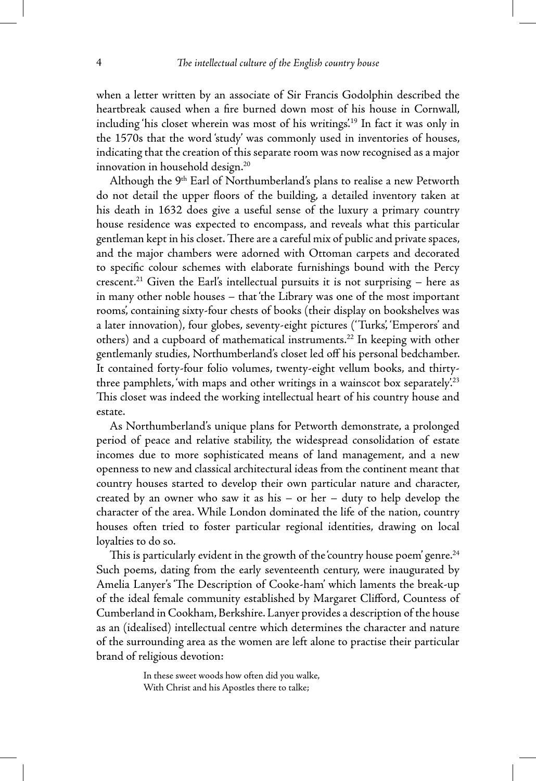when a letter written by an associate of Sir Francis Godolphin described the heartbreak caused when a fire burned down most of his house in Cornwall, including 'his closet wherein was most of his writings'.19 In fact it was only in the 1570s that the word 'study' was commonly used in inventories of houses, indicating that the creation of this separate room was now recognised as a major innovation in household design.20

Although the 9<sup>th</sup> Earl of Northumberland's plans to realise a new Petworth do not detail the upper floors of the building, a detailed inventory taken at his death in 1632 does give a useful sense of the luxury a primary country house residence was expected to encompass, and reveals what this particular gentleman kept in his closet. There are a careful mix of public and private spaces, and the major chambers were adorned with Ottoman carpets and decorated to specific colour schemes with elaborate furnishings bound with the Percy crescent.<sup>21</sup> Given the Earl's intellectual pursuits it is not surprising  $-$  here as in many other noble houses – that 'the Library was one of the most important rooms', containing sixty-four chests of books (their display on bookshelves was a later innovation), four globes, seventy-eight pictures ('Turks', 'Emperors' and others) and a cupboard of mathematical instruments.<sup>22</sup> In keeping with other gentlemanly studies, Northumberland's closet led off his personal bedchamber. It contained forty-four folio volumes, twenty-eight vellum books, and thirtythree pamphlets, 'with maps and other writings in a wainscot box separately.<sup>23</sup> This closet was indeed the working intellectual heart of his country house and estate.

As Northumberland's unique plans for Petworth demonstrate, a prolonged period of peace and relative stability, the widespread consolidation of estate incomes due to more sophisticated means of land management, and a new openness to new and classical architectural ideas from the continent meant that country houses started to develop their own particular nature and character, created by an owner who saw it as his – or her – duty to help develop the character of the area. While London dominated the life of the nation, country houses often tried to foster particular regional identities, drawing on local loyalties to do so.

This is particularly evident in the growth of the 'country house poem' genre.<sup>24</sup> Such poems, dating from the early seventeenth century, were inaugurated by Amelia Lanyer's 'The Description of Cooke-ham' which laments the break-up of the ideal female community established by Margaret Clifford, Countess of Cumberland in Cookham, Berkshire. Lanyer provides a description of the house as an (idealised) intellectual centre which determines the character and nature of the surrounding area as the women are left alone to practise their particular brand of religious devotion:

> In these sweet woods how often did you walke, With Christ and his Apostles there to talke;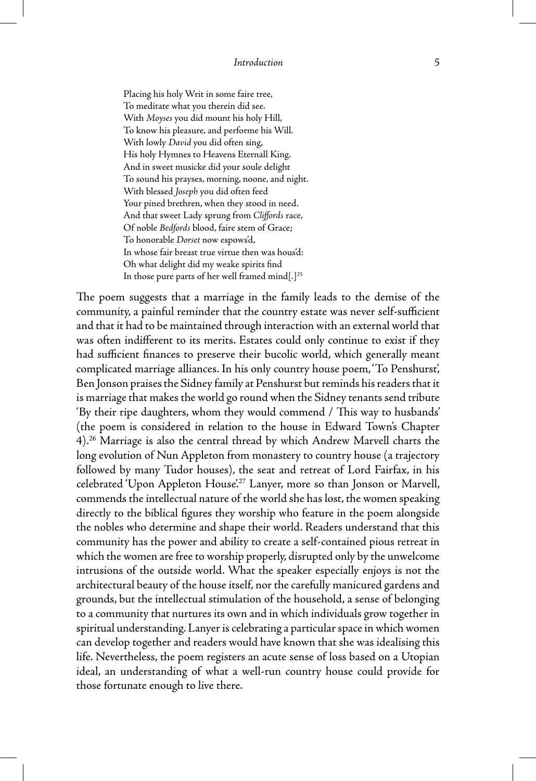Placing his holy Writ in some faire tree, To meditate what you therein did see. With *Moyses* you did mount his holy Hill, To know his pleasure, and performe his Will. With lowly *David* you did often sing, His holy Hymnes to Heavens Eternall King. And in sweet musicke did your soule delight To sound his prayses, morning, noone, and night. With blessed *Joseph* you did often feed Your pined brethren, when they stood in need. And that sweet Lady sprung from *Cliffords* race, Of noble *Bedfords* blood, faire stem of Grace; To honorable *Dorset* now espows'd, In whose fair breast true virtue then was hous'd: Oh what delight did my weake spirits find In those pure parts of her well framed mind[.]<sup>25</sup>

The poem suggests that a marriage in the family leads to the demise of the community, a painful reminder that the country estate was never self-sufficient and that it had to be maintained through interaction with an external world that was often indifferent to its merits. Estates could only continue to exist if they had sufficient finances to preserve their bucolic world, which generally meant complicated marriage alliances. In his only country house poem, 'To Penshurst', Ben Jonson praises the Sidney family at Penshurst but reminds his readers that it is marriage that makes the world go round when the Sidney tenants send tribute 'By their ripe daughters, whom they would commend / This way to husbands' (the poem is considered in relation to the house in Edward Town's Chapter 4).26 Marriage is also the central thread by which Andrew Marvell charts the long evolution of Nun Appleton from monastery to country house (a trajectory followed by many Tudor houses), the seat and retreat of Lord Fairfax, in his celebrated 'Upon Appleton House.<sup>27</sup> Lanyer, more so than Jonson or Marvell, commends the intellectual nature of the world she has lost, the women speaking directly to the biblical figures they worship who feature in the poem alongside the nobles who determine and shape their world. Readers understand that this community has the power and ability to create a self-contained pious retreat in which the women are free to worship properly, disrupted only by the unwelcome intrusions of the outside world. What the speaker especially enjoys is not the architectural beauty of the house itself, nor the carefully manicured gardens and grounds, but the intellectual stimulation of the household, a sense of belonging to a community that nurtures its own and in which individuals grow together in spiritual understanding. Lanyer is celebrating a particular space in which women can develop together and readers would have known that she was idealising this life. Nevertheless, the poem registers an acute sense of loss based on a Utopian ideal, an understanding of what a well-run country house could provide for those fortunate enough to live there.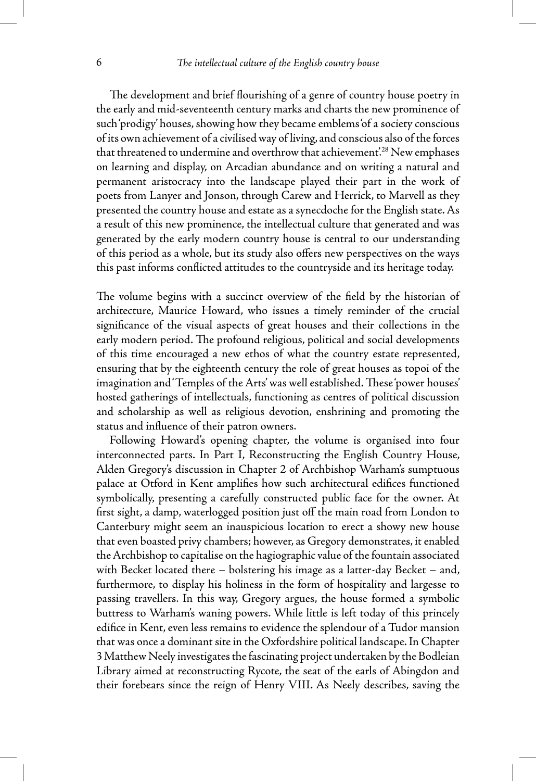The development and brief flourishing of a genre of country house poetry in the early and mid-seventeenth century marks and charts the new prominence of such 'prodigy' houses, showing how they became emblems 'of a society conscious of its own achievement of a civilised way of living, and conscious also of the forces that threatened to undermine and overthrow that achievement.<sup>28</sup> New emphases on learning and display, on Arcadian abundance and on writing a natural and permanent aristocracy into the landscape played their part in the work of poets from Lanyer and Jonson, through Carew and Herrick, to Marvell as they presented the country house and estate as a synecdoche for the English state. As a result of this new prominence, the intellectual culture that generated and was generated by the early modern country house is central to our understanding of this period as a whole, but its study also offers new perspectives on the ways this past informs conflicted attitudes to the countryside and its heritage today.

The volume begins with a succinct overview of the field by the historian of architecture, Maurice Howard, who issues a timely reminder of the crucial significance of the visual aspects of great houses and their collections in the early modern period. The profound religious, political and social developments of this time encouraged a new ethos of what the country estate represented, ensuring that by the eighteenth century the role of great houses as topoi of the imagination and 'Temples of the Arts' was well established. These 'power houses' hosted gatherings of intellectuals, functioning as centres of political discussion and scholarship as well as religious devotion, enshrining and promoting the status and influence of their patron owners.

Following Howard's opening chapter, the volume is organised into four interconnected parts. In Part I, Reconstructing the English Country House, Alden Gregory's discussion in Chapter 2 of Archbishop Warham's sumptuous palace at Otford in Kent amplifies how such architectural edifices functioned symbolically, presenting a carefully constructed public face for the owner. At first sight, a damp, waterlogged position just off the main road from London to Canterbury might seem an inauspicious location to erect a showy new house that even boasted privy chambers; however, as Gregory demonstrates, it enabled the Archbishop to capitalise on the hagiographic value of the fountain associated with Becket located there – bolstering his image as a latter-day Becket – and, furthermore, to display his holiness in the form of hospitality and largesse to passing travellers. In this way, Gregory argues, the house formed a symbolic buttress to Warham's waning powers. While little is left today of this princely edifice in Kent, even less remains to evidence the splendour of a Tudor mansion that was once a dominant site in the Oxfordshire political landscape. In Chapter 3 Matthew Neely investigates the fascinating project undertaken by the Bodleian Library aimed at reconstructing Rycote, the seat of the earls of Abingdon and their forebears since the reign of Henry VIII. As Neely describes, saving the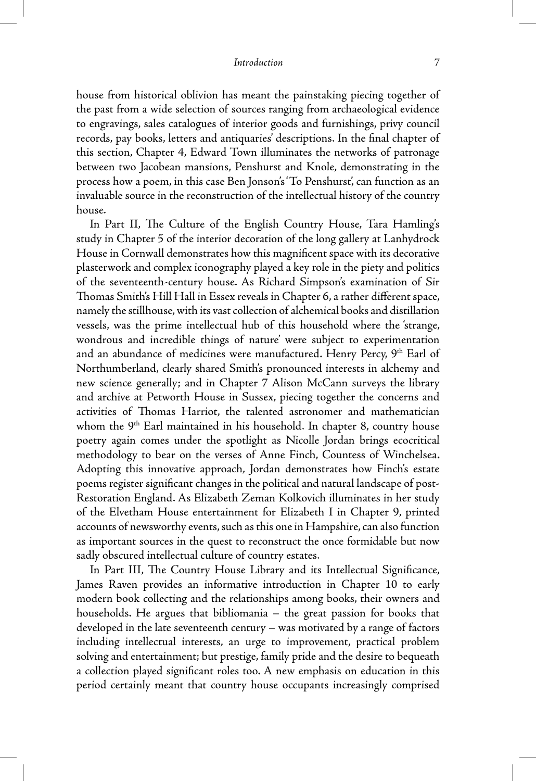house from historical oblivion has meant the painstaking piecing together of the past from a wide selection of sources ranging from archaeological evidence to engravings, sales catalogues of interior goods and furnishings, privy council records, pay books, letters and antiquaries' descriptions. In the final chapter of this section, Chapter 4, Edward Town illuminates the networks of patronage between two Jacobean mansions, Penshurst and Knole, demonstrating in the process how a poem, in this case Ben Jonson's 'To Penshurst', can function as an invaluable source in the reconstruction of the intellectual history of the country house.

In Part II, The Culture of the English Country House, Tara Hamling's study in Chapter 5 of the interior decoration of the long gallery at Lanhydrock House in Cornwall demonstrates how this magnificent space with its decorative plasterwork and complex iconography played a key role in the piety and politics of the seventeenth-century house. As Richard Simpson's examination of Sir Thomas Smith's Hill Hall in Essex reveals in Chapter 6, a rather different space, namely the stillhouse, with its vast collection of alchemical books and distillation vessels, was the prime intellectual hub of this household where the 'strange, wondrous and incredible things of nature' were subject to experimentation and an abundance of medicines were manufactured. Henry Percy, 9<sup>th</sup> Earl of Northumberland, clearly shared Smith's pronounced interests in alchemy and new science generally; and in Chapter 7 Alison McCann surveys the library and archive at Petworth House in Sussex, piecing together the concerns and activities of Thomas Harriot, the talented astronomer and mathematician whom the 9<sup>th</sup> Earl maintained in his household. In chapter 8, country house poetry again comes under the spotlight as Nicolle Jordan brings ecocritical methodology to bear on the verses of Anne Finch, Countess of Winchelsea. Adopting this innovative approach, Jordan demonstrates how Finch's estate poems register significant changes in the political and natural landscape of post-Restoration England. As Elizabeth Zeman Kolkovich illuminates in her study of the Elvetham House entertainment for Elizabeth I in Chapter 9, printed accounts of newsworthy events, such as this one in Hampshire, can also function as important sources in the quest to reconstruct the once formidable but now sadly obscured intellectual culture of country estates.

In Part III, The Country House Library and its Intellectual Significance, James Raven provides an informative introduction in Chapter 10 to early modern book collecting and the relationships among books, their owners and households. He argues that bibliomania – the great passion for books that developed in the late seventeenth century – was motivated by a range of factors including intellectual interests, an urge to improvement, practical problem solving and entertainment; but prestige, family pride and the desire to bequeath a collection played significant roles too. A new emphasis on education in this period certainly meant that country house occupants increasingly comprised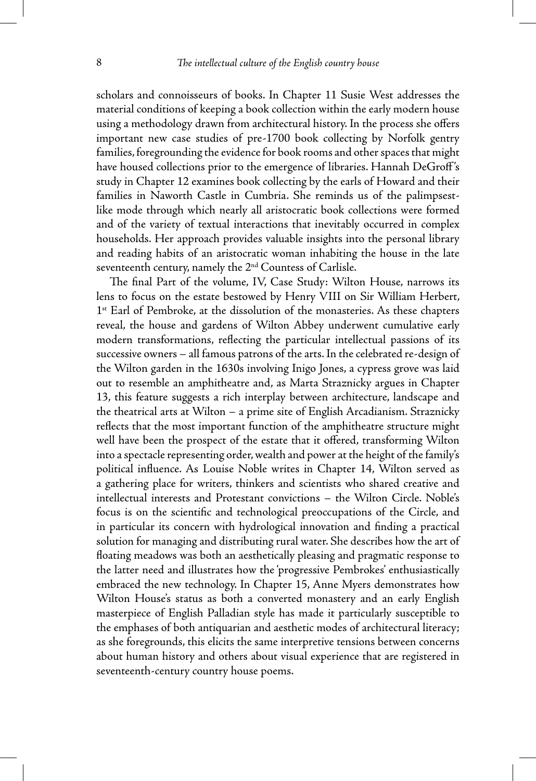scholars and connoisseurs of books. In Chapter 11 Susie West addresses the material conditions of keeping a book collection within the early modern house using a methodology drawn from architectural history. In the process she offers important new case studies of pre-1700 book collecting by Norfolk gentry families, foregrounding the evidence for book rooms and other spaces that might have housed collections prior to the emergence of libraries. Hannah DeGroff's study in Chapter 12 examines book collecting by the earls of Howard and their families in Naworth Castle in Cumbria. She reminds us of the palimpsestlike mode through which nearly all aristocratic book collections were formed and of the variety of textual interactions that inevitably occurred in complex households. Her approach provides valuable insights into the personal library and reading habits of an aristocratic woman inhabiting the house in the late seventeenth century, namely the 2<sup>nd</sup> Countess of Carlisle.

The final Part of the volume, IV, Case Study: Wilton House, narrows its lens to focus on the estate bestowed by Henry VIII on Sir William Herbert, 1<sup>st</sup> Earl of Pembroke, at the dissolution of the monasteries. As these chapters reveal, the house and gardens of Wilton Abbey underwent cumulative early modern transformations, reflecting the particular intellectual passions of its successive owners – all famous patrons of the arts. In the celebrated re-design of the Wilton garden in the 1630s involving Inigo Jones, a cypress grove was laid out to resemble an amphitheatre and, as Marta Straznicky argues in Chapter 13, this feature suggests a rich interplay between architecture, landscape and the theatrical arts at Wilton – a prime site of English Arcadianism. Straznicky reflects that the most important function of the amphitheatre structure might well have been the prospect of the estate that it offered, transforming Wilton into a spectacle representing order, wealth and power at the height of the family's political influence. As Louise Noble writes in Chapter 14, Wilton served as a gathering place for writers, thinkers and scientists who shared creative and intellectual interests and Protestant convictions – the Wilton Circle. Noble's focus is on the scientific and technological preoccupations of the Circle, and in particular its concern with hydrological innovation and finding a practical solution for managing and distributing rural water. She describes how the art of floating meadows was both an aesthetically pleasing and pragmatic response to the latter need and illustrates how the 'progressive Pembrokes' enthusiastically embraced the new technology. In Chapter 15, Anne Myers demonstrates how Wilton House's status as both a converted monastery and an early English masterpiece of English Palladian style has made it particularly susceptible to the emphases of both antiquarian and aesthetic modes of architectural literacy; as she foregrounds, this elicits the same interpretive tensions between concerns about human history and others about visual experience that are registered in seventeenth-century country house poems.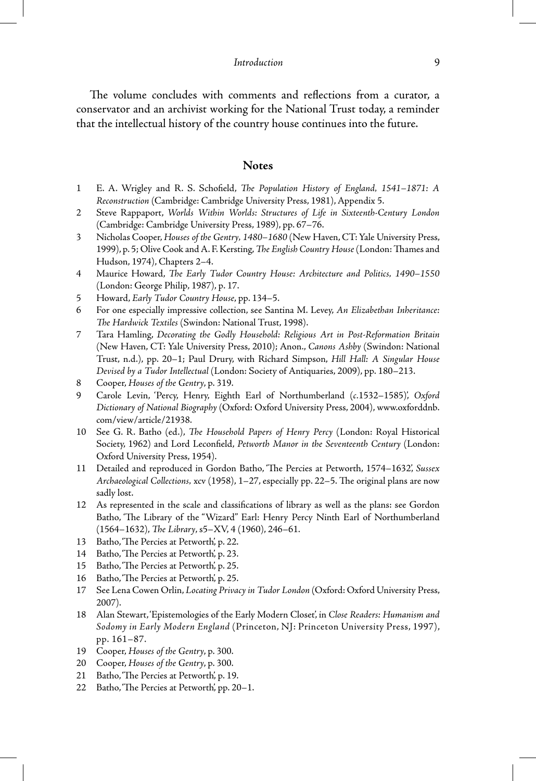The volume concludes with comments and reflections from a curator, a conservator and an archivist working for the National Trust today, a reminder that the intellectual history of the country house continues into the future.

## **Notes**

- 1 E. A. Wrigley and R. S. Schofield, *The Population History of England, 1541–1871: A Reconstruction* (Cambridge: Cambridge University Press, 1981), Appendix 5.
- 2 Steve Rappaport, *Worlds Within Worlds: Structures of Life in Sixteenth-Century London* (Cambridge: Cambridge University Press, 1989), pp. 67–76.
- 3 Nicholas Cooper, *Houses of the Gentry, 1480–1680* (New Haven, CT: Yale University Press, 1999), p. 5; Olive Cook and A. F. Kersting, *The English Country House* (London: Thames and Hudson, 1974), Chapters 2–4.
- 4 Maurice Howard, *The Early Tudor Country House: Architecture and Politics, 1490–1550* (London: George Philip, 1987), p. 17.
- 5 Howard, *Early Tudor Country House*, pp. 134–5.
- 6 For one especially impressive collection, see Santina M. Levey, *An Elizabethan Inheritance: The Hardwick Textiles* (Swindon: National Trust, 1998).
- 7 Tara Hamling, *Decorating the Godly Household: Religious Art in Post-Reformation Britain* (New Haven, CT: Yale University Press, 2010); Anon., *Canons Ashby* (Swindon: National Trust, n.d.), pp. 20–1; Paul Drury, with Richard Simpson, *Hill Hall: A Singular House Devised by a Tudor Intellectual* (London: Society of Antiquaries, 2009), pp. 180–213.
- 8 Cooper, *Houses of the Gentry*, p. 319.
- 9 Carole Levin, 'Percy, Henry, Eighth Earl of Northumberland (*c.*1532–1585)', *Oxford Dictionary of National Biography* (Oxford: Oxford University Press, 2004), www.oxforddnb. com/view/article/21938.
- 10 See G. R. Batho (ed.), *The Household Papers of Henry Percy* (London: Royal Historical Society, 1962) and Lord Leconfield, *Petworth Manor in the Seventeenth Century* (London: Oxford University Press, 1954).
- 11 Detailed and reproduced in Gordon Batho, 'The Percies at Petworth, 1574–1632', *Sussex Archaeological Collections,* xcv (1958), 1–27, especially pp. 22–5. The original plans are now sadly lost.
- 12 As represented in the scale and classifications of library as well as the plans: see Gordon Batho, 'The Library of the "Wizard" Earl: Henry Percy Ninth Earl of Northumberland (1564–1632), *The Library*, s5–XV, 4 (1960), 246–61.
- 13 Batho, 'The Percies at Petworth', p. 22.
- 14 Batho, 'The Percies at Petworth', p. 23.
- 15 Batho, 'The Percies at Petworth', p. 25.
- 16 Batho, 'The Percies at Petworth', p. 25.
- 17 See Lena Cowen Orlin, *Locating Privacy in Tudor London* (Oxford: Oxford University Press, 2007).
- 18 Alan Stewart, 'Epistemologies of the Early Modern Closet', in *Close Readers: Humanism and Sodomy in Early Modern England* (Princeton, NJ: Princeton University Press, 1997), pp. 161–87.
- 19 Cooper, *Houses of the Gentry*, p. 300.
- 20 Cooper, *Houses of the Gentry*, p. 300.
- 21 Batho, 'The Percies at Petworth', p. 19.
- 22 Batho, 'The Percies at Petworth', pp. 20–1.